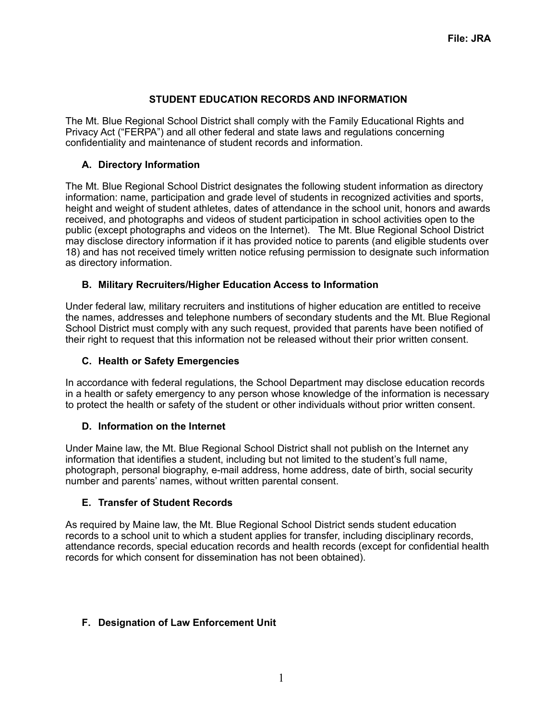# **STUDENT EDUCATION RECORDS AND INFORMATION**

The Mt. Blue Regional School District shall comply with the Family Educational Rights and Privacy Act ("FERPA") and all other federal and state laws and regulations concerning confidentiality and maintenance of student records and information.

## **A. Directory Information**

The Mt. Blue Regional School District designates the following student information as directory information: name, participation and grade level of students in recognized activities and sports, height and weight of student athletes, dates of attendance in the school unit, honors and awards received, and photographs and videos of student participation in school activities open to the public (except photographs and videos on the Internet). The Mt. Blue Regional School District may disclose directory information if it has provided notice to parents (and eligible students over 18) and has not received timely written notice refusing permission to designate such information as directory information.

## **B. Military Recruiters/Higher Education Access to Information**

Under federal law, military recruiters and institutions of higher education are entitled to receive the names, addresses and telephone numbers of secondary students and the Mt. Blue Regional School District must comply with any such request, provided that parents have been notified of their right to request that this information not be released without their prior written consent.

## **C. Health or Safety Emergencies**

In accordance with federal regulations, the School Department may disclose education records in a health or safety emergency to any person whose knowledge of the information is necessary to protect the health or safety of the student or other individuals without prior written consent.

## **D. Information on the Internet**

Under Maine law, the Mt. Blue Regional School District shall not publish on the Internet any information that identifies a student, including but not limited to the student's full name, photograph, personal biography, e-mail address, home address, date of birth, social security number and parents' names, without written parental consent.

## **E. Transfer of Student Records**

As required by Maine law, the Mt. Blue Regional School District sends student education records to a school unit to which a student applies for transfer, including disciplinary records, attendance records, special education records and health records (except for confidential health records for which consent for dissemination has not been obtained).

## **F. Designation of Law Enforcement Unit**